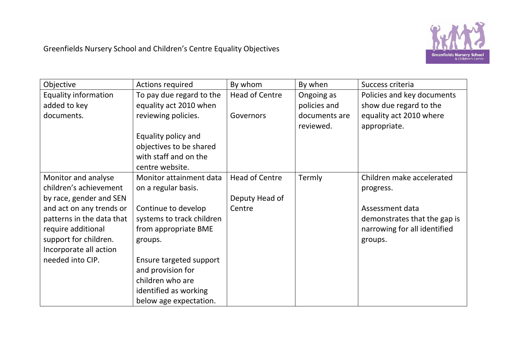

| Objective                   | <b>Actions required</b>   | By whom               | By when       | Success criteria             |
|-----------------------------|---------------------------|-----------------------|---------------|------------------------------|
| <b>Equality information</b> | To pay due regard to the  | Head of Centre        | Ongoing as    | Policies and key documents   |
| added to key                | equality act 2010 when    |                       | policies and  | show due regard to the       |
| documents.                  | reviewing policies.       | Governors             | documents are | equality act 2010 where      |
|                             |                           |                       | reviewed.     | appropriate.                 |
|                             | Equality policy and       |                       |               |                              |
|                             | objectives to be shared   |                       |               |                              |
|                             | with staff and on the     |                       |               |                              |
|                             | centre website.           |                       |               |                              |
| Monitor and analyse         | Monitor attainment data   | <b>Head of Centre</b> | Termly        | Children make accelerated    |
| children's achievement      | on a regular basis.       |                       |               | progress.                    |
| by race, gender and SEN     |                           | Deputy Head of        |               |                              |
| and act on any trends or    | Continue to develop       | Centre                |               | Assessment data              |
| patterns in the data that   | systems to track children |                       |               | demonstrates that the gap is |
| require additional          | from appropriate BME      |                       |               | narrowing for all identified |
| support for children.       | groups.                   |                       |               | groups.                      |
| Incorporate all action      |                           |                       |               |                              |
| needed into CIP.            | Ensure targeted support   |                       |               |                              |
|                             | and provision for         |                       |               |                              |
|                             | children who are          |                       |               |                              |
|                             | identified as working     |                       |               |                              |
|                             | below age expectation.    |                       |               |                              |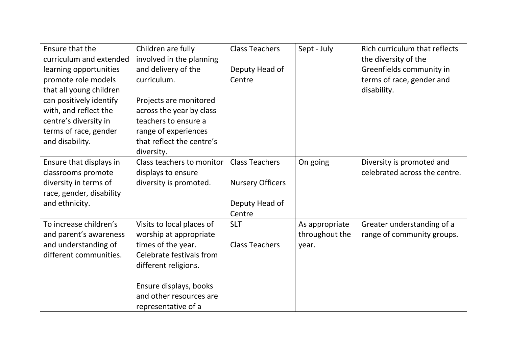| Ensure that the          | Children are fully        | <b>Class Teachers</b>   | Sept - July    | Rich curriculum that reflects |
|--------------------------|---------------------------|-------------------------|----------------|-------------------------------|
| curriculum and extended  | involved in the planning  |                         |                | the diversity of the          |
| learning opportunities   | and delivery of the       | Deputy Head of          |                | Greenfields community in      |
| promote role models      | curriculum.               | Centre                  |                | terms of race, gender and     |
| that all young children  |                           |                         |                | disability.                   |
| can positively identify  | Projects are monitored    |                         |                |                               |
| with, and reflect the    | across the year by class  |                         |                |                               |
| centre's diversity in    | teachers to ensure a      |                         |                |                               |
| terms of race, gender    | range of experiences      |                         |                |                               |
| and disability.          | that reflect the centre's |                         |                |                               |
|                          | diversity.                |                         |                |                               |
| Ensure that displays in  | Class teachers to monitor | <b>Class Teachers</b>   | On going       | Diversity is promoted and     |
| classrooms promote       | displays to ensure        |                         |                | celebrated across the centre. |
| diversity in terms of    | diversity is promoted.    | <b>Nursery Officers</b> |                |                               |
| race, gender, disability |                           |                         |                |                               |
| and ethnicity.           |                           | Deputy Head of          |                |                               |
|                          |                           | Centre                  |                |                               |
| To increase children's   | Visits to local places of | <b>SLT</b>              | As appropriate | Greater understanding of a    |
| and parent's awareness   | worship at appropriate    |                         | throughout the | range of community groups.    |
| and understanding of     | times of the year.        | <b>Class Teachers</b>   | year.          |                               |
| different communities.   | Celebrate festivals from  |                         |                |                               |
|                          | different religions.      |                         |                |                               |
|                          |                           |                         |                |                               |
|                          | Ensure displays, books    |                         |                |                               |
|                          | and other resources are   |                         |                |                               |
|                          | representative of a       |                         |                |                               |